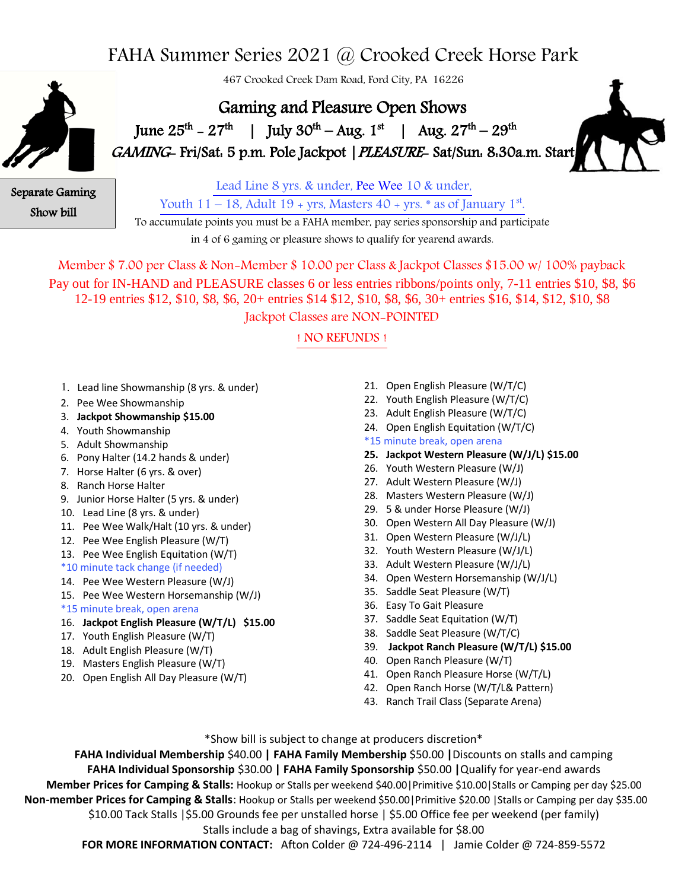## FAHA Summer Series 2021 @ Crooked Creek Horse Park

467 Crooked Creek Dam Road, Ford City, PA 16226



Gaming and Pleasure Open Shows **1** June  $25^{th} - 27^{th}$  | July  $30^{th} - Aug. 1^{st}$  | Aug.  $27^{th} - 29^{th}$ GAMING- Fri/Sat. 5 p.m. Pole Jackpot | PLEASURE- Sat/Sun. 8:30a.m. Start



Separate Gaming Show bill

Lead Line 8 yrs. & under, Pee Wee 10 & under, Youth  $11-18$ , Adult  $19$  + yrs, Masters  $40$  + yrs.  $*$  as of January  $1<sup>st</sup>$ .

To accumulate points you must be a FAHA member, pay series sponsorship and participate in 4 of 6 gaming or pleasure shows to qualify for yearend awards.

Member \$ 7.00 per Class & Non-Member \$ 10.00 per Class & Jackpot Classes \$15.00 w/ 100% payback Pay out for IN-HAND and PLEASURE classes 6 or less entries ribbons/points only, 7-11 entries \$10, \$8, \$6 12-19 entries \$12, \$10, \$8, \$6, 20+ entries \$14 \$12, \$10, \$8, \$6, 30+ entries \$16, \$14, \$12, \$10, \$8 Jackpot Classes are NON-POINTED

! NO REFUNDS !

- 1. Lead line Showmanship (8 yrs. & under)
- 2. Pee Wee Showmanship
- 3. **Jackpot Showmanship \$15.00**
- 4. Youth Showmanship
- 5. Adult Showmanship
- 6. Pony Halter (14.2 hands & under)
- 7. Horse Halter (6 yrs. & over)
- 8. Ranch Horse Halter
- 9. Junior Horse Halter (5 yrs. & under)
- 10. Lead Line (8 yrs. & under)
- 11. Pee Wee Walk/Halt (10 yrs. & under)
- 12. Pee Wee English Pleasure (W/T)
- 13. Pee Wee English Equitation (W/T)
- \*10 minute tack change (if needed)
- 14. Pee Wee Western Pleasure (W/J)
- 15. Pee Wee Western Horsemanship (W/J)
- \*15 minute break, open arena
- 16. **Jackpot English Pleasure (W/T/L) \$15.00**
- 17. Youth English Pleasure (W/T)
- 18. Adult English Pleasure (W/T)
- 19. Masters English Pleasure (W/T)
- 20. Open English All Day Pleasure (W/T)
- 21. Open English Pleasure (W/T/C)
- 22. Youth English Pleasure (W/T/C)
- 23. Adult English Pleasure (W/T/C)
- 24. Open English Equitation (W/T/C)
- \*15 minute break, open arena
- **25. Jackpot Western Pleasure (W/J/L) \$15.00**
- 26. Youth Western Pleasure (W/J)
- 27. Adult Western Pleasure (W/J)
- 28. Masters Western Pleasure (W/J)
- 29. 5 & under Horse Pleasure (W/J)
- 30. Open Western All Day Pleasure (W/J)
- 31. Open Western Pleasure (W/J/L)
- 32. Youth Western Pleasure (W/J/L)
- 33. Adult Western Pleasure (W/J/L)
- 34. Open Western Horsemanship (W/J/L)
- 35. Saddle Seat Pleasure (W/T)
- 36. Easy To Gait Pleasure
- 37. Saddle Seat Equitation (W/T)
- 38. Saddle Seat Pleasure (W/T/C)
- 39. **Jackpot Ranch Pleasure (W/T/L) \$15.00**
- 40. Open Ranch Pleasure (W/T)
- 41. Open Ranch Pleasure Horse (W/T/L)
- 42. Open Ranch Horse (W/T/L& Pattern)
- 43. Ranch Trail Class (Separate Arena)

\*Show bill is subject to change at producers discretion\*

**FAHA Individual Membership** \$40.00 **| FAHA Family Membership** \$50.00 **|**Discounts on stalls and camping **FAHA Individual Sponsorship** \$30.00 **| FAHA Family Sponsorship** \$50.00 **|**Qualify for year-end awards **Member Prices for Camping & Stalls:** Hookup or Stalls per weekend \$40.00|Primitive \$10.00|Stalls or Camping per day \$25.00 **Non-member Prices for Camping & Stalls**: Hookup or Stalls per weekend \$50.00|Primitive \$20.00 |Stalls or Camping per day \$35.00 \$10.00 Tack Stalls |\$5.00 Grounds fee per unstalled horse | \$5.00 Office fee per weekend (per family)

#### Stalls include a bag of shavings, Extra available for \$8.00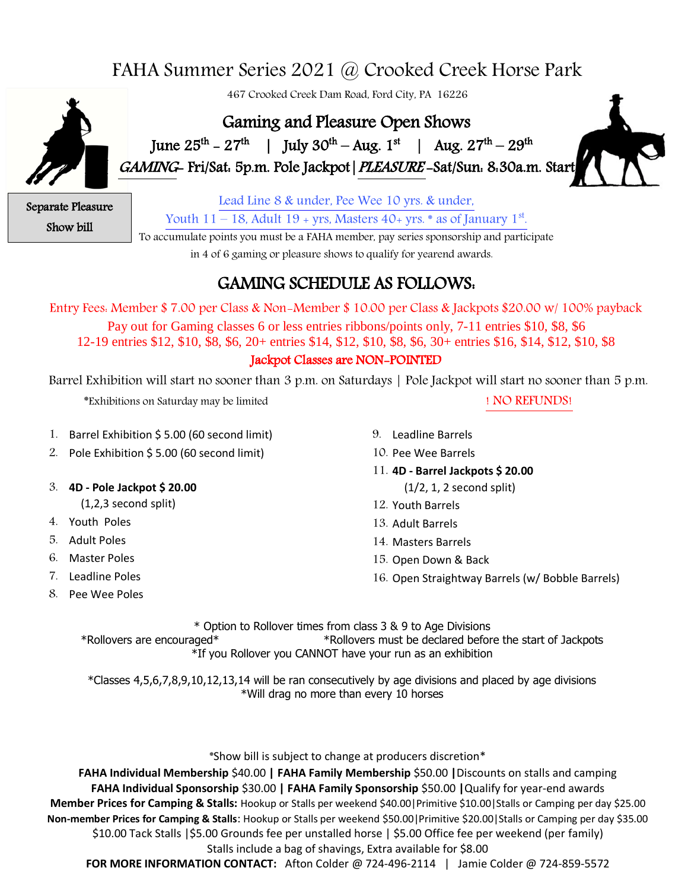# FAHA Summer Series 2021 @ Crooked Creek Horse Park



467 Crooked Creek Dam Road, Ford City, PA 16226

## Gaming and Pleasure Open Shows

**1** June  $25^{th} - 27^{th}$  | July  $30^{th} - Aug. 1^{st}$  | Aug.  $27^{th} - 29^{th}$ GAMING- Fri/Sat: 5p.m. Pole Jackpot|PLEASURE -Sat/Sun: 8:30a.m. Start



Separate Pleasure Show bill

Lead Line 8 & under, Pee Wee 10 yrs. & under,

Youth  $11-18$ , Adult  $19$  + yrs, Masters  $40$ + yrs.  $*$  as of January  $1<sup>st</sup>$ .

To accumulate points you must be a FAHA member, pay series sponsorship and participate

in 4 of 6 gaming or pleasure shows to qualify for yearend awards.

### GAMING SCHEDULE AS FOLLOWS:

Entry Fees: Member \$ 7.00 per Class & Non-Member \$ 10.00 per Class & Jackpots \$20.00 w/ 100% payback

Pay out for Gaming classes 6 or less entries ribbons/points only, 7-11 entries \$10, \$8, \$6 12-19 entries \$12, \$10, \$8, \$6, 20+ entries \$14, \$12, \$10, \$8, \$6, 30+ entries \$16, \$14, \$12, \$10, \$8

#### Jackpot Classes are NON-POINTED

Barrel Exhibition will start no sooner than 3 p.m. on Saturdays | Pole Jackpot will start no sooner than 5 p.m.

\*Exhibitions on Saturday may be limited ! NO REFUNDS!

- 1. Barrel Exhibition \$ 5.00 (60 second limit)
- 2. Pole Exhibition \$ 5.00 (60 second limit)
- 3. **4D - Pole Jackpot \$ 20.00** 
	- (1,2,3 second split)
- 4. Youth Poles
- 5. Adult Poles
- 6. Master Poles
- 7. Leadline Poles
- 8. Pee Wee Poles
- 9. Leadline Barrels
- 10. Pee Wee Barrels
- 11. **4D - Barrel Jackpots \$ 20.00**  (1/2, 1, 2 second split)
- 12. Youth Barrels
- 13. Adult Barrels
- 14. Masters Barrels
- 15. Open Down & Back
- 16. Open Straightway Barrels (w/ Bobble Barrels)

\* Option to Rollover times from class 3 & 9 to Age Divisions \*Rollovers are encouraged\* \*Rollovers must be declared before the start of Jackpots \*If you Rollover you CANNOT have your run as an exhibition

\*Classes 4,5,6,7,8,9,10,12,13,14 will be ran consecutively by age divisions and placed by age divisions \*Will drag no more than every 10 horses

\*Show bill is subject to change at producers discretion\*

**FAHA Individual Membership** \$40.00 **| FAHA Family Membership** \$50.00 **|**Discounts on stalls and camping **FAHA Individual Sponsorship** \$30.00 **| FAHA Family Sponsorship** \$50.00 **|**Qualify for year-end awards **Member Prices for Camping & Stalls:** Hookup or Stalls per weekend \$40.00|Primitive \$10.00|Stalls or Camping per day \$25.00 **Non-member Prices for Camping & Stalls**: Hookup or Stalls per weekend \$50.00|Primitive \$20.00|Stalls or Camping per day \$35.00 \$10.00 Tack Stalls |\$5.00 Grounds fee per unstalled horse | \$5.00 Office fee per weekend (per family) Stalls include a bag of shavings, Extra available for \$8.00

**FOR MORE INFORMATION CONTACT:** Afton Colder @ 724-496-2114 | Jamie Colder @ 724-859-5572